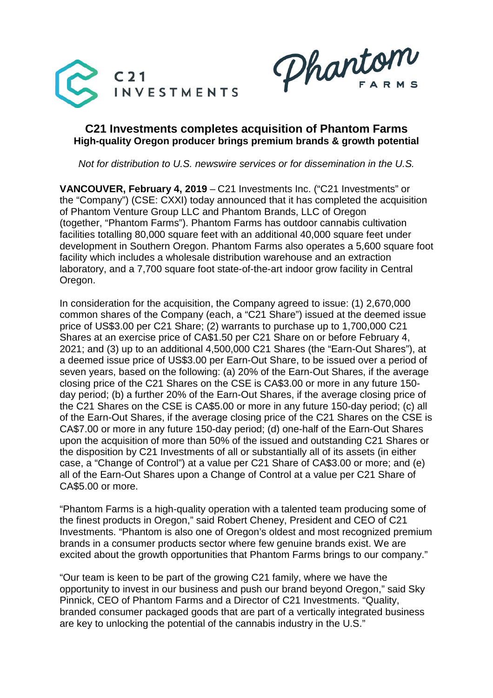

Phartom

# **C21 Investments completes acquisition of Phantom Farms High-quality Oregon producer brings premium brands & growth potential**

*Not for distribution to U.S. newswire services or for dissemination in the U.S.*

**VANCOUVER, February 4, 2019** – C21 Investments Inc. ("C21 Investments" or the "Company") (CSE: CXXI) today announced that it has completed the acquisition of Phantom Venture Group LLC and Phantom Brands, LLC of Oregon (together, "Phantom Farms"). Phantom Farms has outdoor cannabis cultivation facilities totalling 80,000 square feet with an additional 40,000 square feet under development in Southern Oregon. Phantom Farms also operates a 5,600 square foot facility which includes a wholesale distribution warehouse and an extraction laboratory, and a 7,700 square foot state-of-the-art indoor grow facility in Central Oregon.

In consideration for the acquisition, the Company agreed to issue: (1) 2,670,000 common shares of the Company (each, a "C21 Share") issued at the deemed issue price of US\$3.00 per C21 Share; (2) warrants to purchase up to 1,700,000 C21 Shares at an exercise price of CA\$1.50 per C21 Share on or before February 4, 2021; and (3) up to an additional 4,500,000 C21 Shares (the "Earn-Out Shares"), at a deemed issue price of US\$3.00 per Earn-Out Share, to be issued over a period of seven years, based on the following: (a) 20% of the Earn-Out Shares, if the average closing price of the C21 Shares on the CSE is CA\$3.00 or more in any future 150 day period; (b) a further 20% of the Earn-Out Shares, if the average closing price of the C21 Shares on the CSE is CA\$5.00 or more in any future 150-day period; (c) all of the Earn-Out Shares, if the average closing price of the C21 Shares on the CSE is CA\$7.00 or more in any future 150-day period; (d) one-half of the Earn-Out Shares upon the acquisition of more than 50% of the issued and outstanding C21 Shares or the disposition by C21 Investments of all or substantially all of its assets (in either case, a "Change of Control") at a value per C21 Share of CA\$3.00 or more; and (e) all of the Earn-Out Shares upon a Change of Control at a value per C21 Share of CA\$5.00 or more.

"Phantom Farms is a high-quality operation with a talented team producing some of the finest products in Oregon," said Robert Cheney, President and CEO of C21 Investments. "Phantom is also one of Oregon's oldest and most recognized premium brands in a consumer products sector where few genuine brands exist. We are excited about the growth opportunities that Phantom Farms brings to our company."

"Our team is keen to be part of the growing C21 family, where we have the opportunity to invest in our business and push our brand beyond Oregon," said Sky Pinnick, CEO of Phantom Farms and a Director of C21 Investments. "Quality, branded consumer packaged goods that are part of a vertically integrated business are key to unlocking the potential of the cannabis industry in the U.S."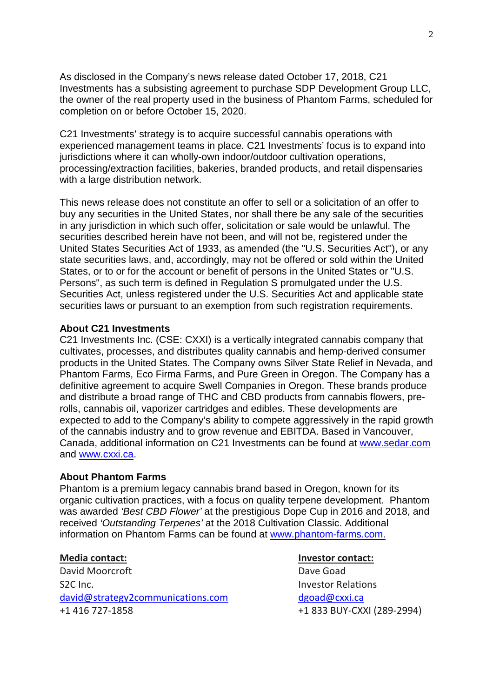As disclosed in the Company's news release dated October 17, 2018, C21 Investments has a subsisting agreement to purchase SDP Development Group LLC, the owner of the real property used in the business of Phantom Farms, scheduled for completion on or before October 15, 2020.

C21 Investments' strategy is to acquire successful cannabis operations with experienced management teams in place. C21 Investments' focus is to expand into jurisdictions where it can wholly-own indoor/outdoor cultivation operations, processing/extraction facilities, bakeries, branded products, and retail dispensaries with a large distribution network.

This news release does not constitute an offer to sell or a solicitation of an offer to buy any securities in the United States, nor shall there be any sale of the securities in any jurisdiction in which such offer, solicitation or sale would be unlawful. The securities described herein have not been, and will not be, registered under the United States Securities Act of 1933, as amended (the "U.S. Securities Act"), or any state securities laws, and, accordingly, may not be offered or sold within the United States, or to or for the account or benefit of persons in the United States or "U.S. Persons", as such term is defined in Regulation S promulgated under the U.S. Securities Act, unless registered under the U.S. Securities Act and applicable state securities laws or pursuant to an exemption from such registration requirements.

### **About C21 Investments**

C21 Investments Inc. (CSE: CXXI) is a vertically integrated cannabis company that cultivates, processes, and distributes quality cannabis and hemp-derived consumer products in the United States. The Company owns Silver State Relief in Nevada, and Phantom Farms, Eco Firma Farms, and Pure Green in Oregon. The Company has a definitive agreement to acquire Swell Companies in Oregon. These brands produce and distribute a broad range of THC and CBD products from cannabis flowers, prerolls, cannabis oil, vaporizer cartridges and edibles. These developments are expected to add to the Company's ability to compete aggressively in the rapid growth of the cannabis industry and to grow revenue and EBITDA. Based in Vancouver, Canada, additional information on C21 Investments can be found at [www.sedar.com](http://www.sedar.com/) and [www.cxxi.ca.](http://www.cxxi.ca/)

## **About Phantom Farms**

Phantom is a premium legacy cannabis brand based in Oregon, known for its organic cultivation practices, with a focus on quality terpene development. Phantom was awarded *'Best CBD Flower'* at the prestigious Dope Cup in 2016 and 2018, and received *'Outstanding Terpenes'* at the 2018 Cultivation Classic. Additional information on Phantom Farms can be found at [www.phantom-farms.com.](http://www.phantom-farms.com/)

David Moorcroft David Dave Goad S2C Inc. **Investor Relations** david@strategy2communications.com [dgoad@cxxi.ca](mailto:dgoad@cxxi.ca) +1 416 727-1858 +1 833 BUY-CXXI (289-2994)

## **Media contact: Investor contact:**